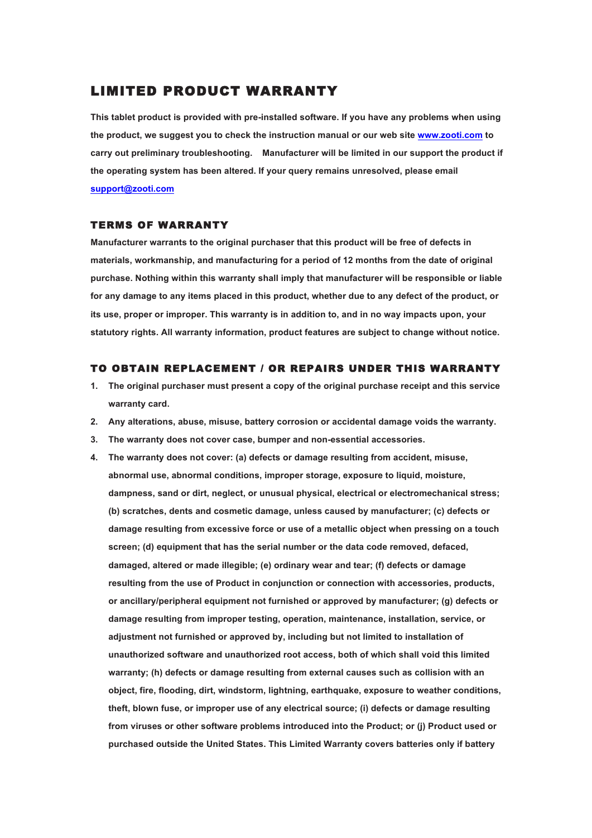## LIMITED PRODUCT WARRANTY

**This tablet product is provided with pre-installed software. If you have any problems when using the product, we suggest you to check the instruction manual or our web site www.zooti.com to carry out preliminary troubleshooting. Manufacturer will be limited in our support the product if the operating system has been altered. If your query remains unresolved, please email support@zooti.com**

## TERMS OF WARRANTY

**Manufacturer warrants to the original purchaser that this product will be free of defects in materials, workmanship, and manufacturing for a period of 12 months from the date of original purchase. Nothing within this warranty shall imply that manufacturer will be responsible or liable for any damage to any items placed in this product, whether due to any defect of the product, or its use, proper or improper. This warranty is in addition to, and in no way impacts upon, your statutory rights. All warranty information, product features are subject to change without notice.**

## TO OBTAIN REPLACEMENT / OR REPAIRS UNDER THIS WARRANTY

- **1. The original purchaser must present a copy of the original purchase receipt and this service warranty card.**
- **2. Any alterations, abuse, misuse, battery corrosion or accidental damage voids the warranty.**
- **3. The warranty does not cover case, bumper and non-essential accessories.**
- **4. The warranty does not cover: (a) defects or damage resulting from accident, misuse, abnormal use, abnormal conditions, improper storage, exposure to liquid, moisture, dampness, sand or dirt, neglect, or unusual physical, electrical or electromechanical stress; (b) scratches, dents and cosmetic damage, unless caused by manufacturer; (c) defects or damage resulting from excessive force or use of a metallic object when pressing on a touch screen; (d) equipment that has the serial number or the data code removed, defaced, damaged, altered or made illegible; (e) ordinary wear and tear; (f) defects or damage resulting from the use of Product in conjunction or connection with accessories, products, or ancillary/peripheral equipment not furnished or approved by manufacturer; (g) defects or damage resulting from improper testing, operation, maintenance, installation, service, or adjustment not furnished or approved by, including but not limited to installation of unauthorized software and unauthorized root access, both of which shall void this limited warranty; (h) defects or damage resulting from external causes such as collision with an object, fire, flooding, dirt, windstorm, lightning, earthquake, exposure to weather conditions, theft, blown fuse, or improper use of any electrical source; (i) defects or damage resulting from viruses or other software problems introduced into the Product; or (j) Product used or purchased outside the United States. This Limited Warranty covers batteries only if battery**